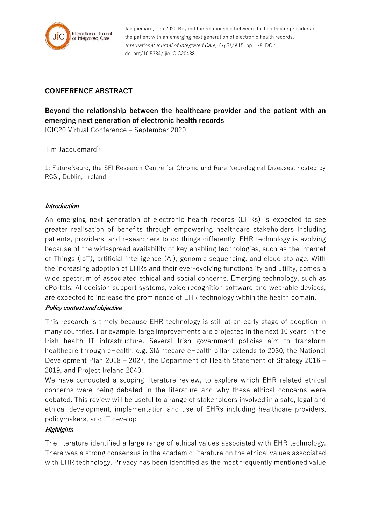

Jacquemard, Tim 2020 Beyond the relationship between the healthcare provider and the patient with an emerging next generation of electronic health records. International Journal of Integrated Care, 21(S1):A15, pp. 1-8, DOI: doi.org/10.5334/ijic.ICIC20438

## **CONFERENCE ABSTRACT**

# **Beyond the relationship between the healthcare provider and the patient with an emerging next generation of electronic health records**

ICIC20 Virtual Conference – September 2020

Tim Jacquemard $1$ ,

1: FutureNeuro, the SFI Research Centre for Chronic and Rare Neurological Diseases, hosted by RCSI, Dublin, Ireland

## **Introduction**

An emerging next generation of electronic health records (EHRs) is expected to see greater realisation of benefits through empowering healthcare stakeholders including patients, providers, and researchers to do things differently. EHR technology is evolving because of the widespread availability of key enabling technologies, such as the Internet of Things (IoT), artificial intelligence (AI), genomic sequencing, and cloud storage. With the increasing adoption of EHRs and their ever-evolving functionality and utility, comes a wide spectrum of associated ethical and social concerns. Emerging technology, such as ePortals, AI decision support systems, voice recognition software and wearable devices, are expected to increase the prominence of EHR technology within the health domain.

#### **Policy context and objective**

This research is timely because EHR technology is still at an early stage of adoption in many countries. For example, large improvements are projected in the next 10 years in the Irish health IT infrastructure. Several Irish government policies aim to transform healthcare through eHealth, e.g. Sláintecare eHealth pillar extends to 2030, the National Development Plan 2018 – 2027, the Department of Health Statement of Strategy 2016 – 2019, and Project Ireland 2040.

We have conducted a scoping literature review, to explore which EHR related ethical concerns were being debated in the literature and why these ethical concerns were debated. This review will be useful to a range of stakeholders involved in a safe, legal and ethical development, implementation and use of EHRs including healthcare providers, policymakers, and IT develop

## **Highlights**

The literature identified a large range of ethical values associated with EHR technology. There was a strong consensus in the academic literature on the ethical values associated with EHR technology. Privacy has been identified as the most frequently mentioned value